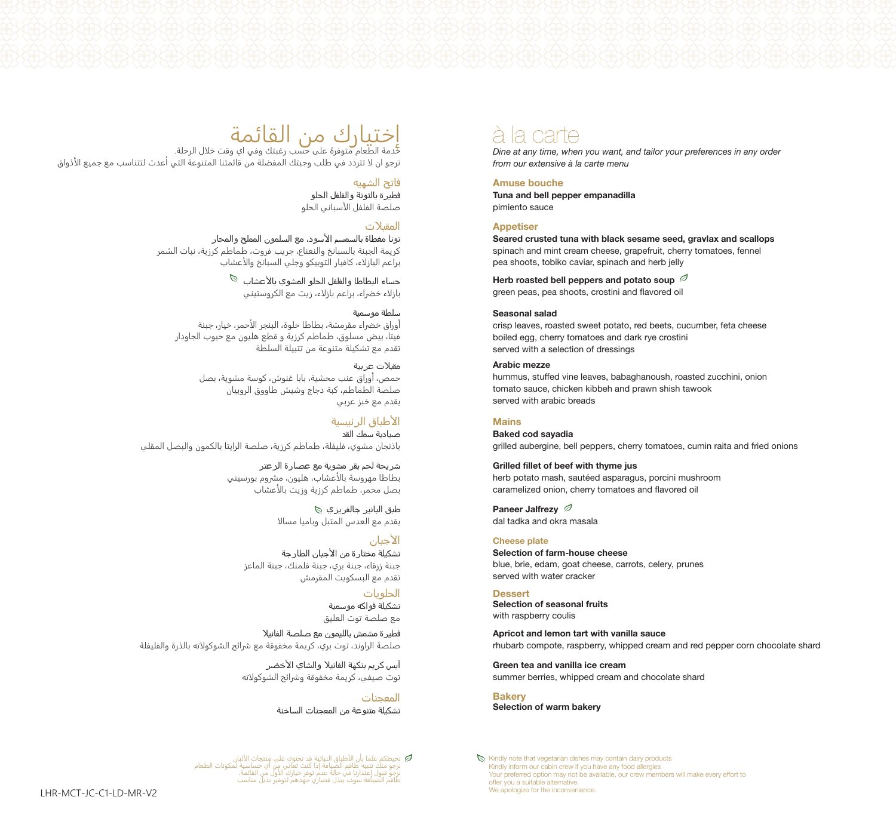# <mark>اختيارك من القائمة</mark><br>خدمة الطعام متوفرة على حسب رغبتك وفي اي وقت خلال الرحلة.

نرجو ان �� تتردد في طلب وجبتك المفضلة من قائمتنا المتنوعة التي أعدت لتتناسب مع جميع ا��ذواق

#### **فاتح الشھيه**

**فطيرة بالتونة والفلفل الحلو** صلصة الفلفل الأسباني الحلو

#### **المقبلات**

**تونا مغطاة بالسمسم الأسود، مع السلمون المملح والمحار** كريمة الجبنة بالسبانخ والنعناع، جريب فروت، طماطم كرزية، نبات الشمر براعم الباز��ء، كافيار التوبيكو وجلي السبانخ وا��عشاب

> **حساء البطاطا والفلفل الحلو المشوي بالأعشاب**  بازلاء خضراء، براعم بازلاء، زيت مع الكروستيني

#### **سلطة موسمية**

أوراق خضراء مقرمشة، بطاطا حلوة، البنجر الأحمر، خيار، جبنة فيتا، بيض مسلوق، طماطم كرزية و قطع هليون مع حبوب الجاودار تقدم مع تشكيلة متنوعة من تتبيلة السلطة

#### **مقبلات عربية** حمص، أوراق عنب محشية، بابا غنوش، كوسة مشوية، بصل صلصة الطماطم، كبة دجاج وشيش طاووق الروبيان يقدم مع خبز عربي

**الأطباق الرئيسية صيادية سمك القد** باذنجان مشوي، فليفلة، طماطم كرزية، صلصة الرايتا بالكمون والبصل المقلي

> **شريحة لحم بقر مشوية مع عصارة الزعتر** بطاطا مهروسة بالأعشاب، هليون، مشروم بورسيني .<br>بصل محمر، طماطم كرزية وزيت بالأعشاب

> > **طبق البانير جالفريزي** يقدم مع العدس المتبل وباميا مسالا

#### **الأجبان تشكيلة مختارة من الأجبان الطازجة** جبنة زرقاء، جبنة بري، جبنة فلمنك، جبنة الماعز تقدم مع البسكويت المقرمش

**الحلويات تشكيلة فواكه موسمية** مع صلصة توت العليق

**فطيرة مشمش بالليمون مع صلصة الفانيلا** صلصة الراوند، توت بري، كريمة مخفوقة مع ��ائح الشوكو��ته بالذرة والفليفلة

> **آيس كريم بنكھة الفانيلا والشاي الأخضر** توت صيفي، كريمة مخفوقة وشرائح الشوكولاته

> > **المعجنات تشكيلة متنوعة من المعجنات الساخنة**

نحيطكم علما بان الاطباق النباتية قد تحتوي على منتجات الالبان<br>ترجو منك تنبيه طاقم الضيافة إذ كنت تعاني من أي حساسية لمكونات الطعام<br>نرجو منك إعتذارنا في حالة عدم إذا كنت تعاني أول من القائمة.<br>طاقم الضيافة سوف يبذل قصاري جهد

### à la carte

*Dine at any time, when you want, and tailor your preferences in any order from our extensive à la carte menu*

#### **Amuse bouche**

**Tuna and bell pepper empanadilla**  pimiento sauce

#### **Appetiser**

**Seared crusted tuna with black sesame seed, gravlax and scallops**  spinach and mint cream cheese, grapefruit, cherry tomatoes, fennel pea shoots, tobiko caviar, spinach and herb jelly

**Herb roasted bell peppers and potato soup**  green peas, pea shoots, crostini and flavored oil

#### **Seasonal salad**

crisp leaves, roasted sweet potato, red beets, cucumber, feta cheese boiled egg, cherry tomatoes and dark rye crostini served with a selection of dressings

#### **Arabic mezze**

hummus, stuffed vine leaves, babaghanoush, roasted zucchini, onion tomato sauce, chicken kibbeh and prawn shish tawook served with arabic breads

#### **Mains**

**Baked cod sayadia** grilled aubergine, bell peppers, cherry tomatoes, cumin raita and fried onions

**Grilled fillet of beef with thyme jus**  herb potato mash, sautéed asparagus, porcini mushroom caramelized onion, cherry tomatoes and flavored oil

**Paneer Jalfrezy** dal tadka and okra masala

#### **Cheese plate**

**Selection of farm-house cheese** blue, brie, edam, goat cheese, carrots, celery, prunes served with water cracker

#### **Dessert Selection of seasonal fruits**  with raspberry coulis

**Apricot and lemon tart with vanilla sauce**  rhubarb compote, raspberry, whipped cream and red pepper corn chocolate shard

**Green tea and vanilla ice cream**  summer berries, whipped cream and chocolate shard

**Bakery Selection of warm bakery**

 $\mathbb S$  Kindly note that vegetarian dishes may contain dairy products Kindly inform our cabin crew if you have any food allergies Your preferred option may not be available, our crew members will make every effort to offer you a suitable alternative. We apologize for the inconvenience.